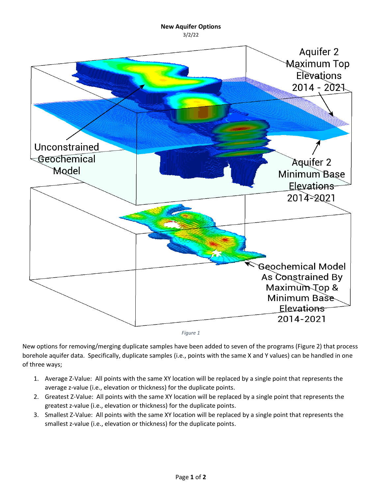## **New Aquifer Options**





<span id="page-0-0"></span>New options for removing/merging duplicate samples have been added to seven of the programs [\(Figure 2\)](#page-1-0) that process borehole aquifer data. Specifically, duplicate samples (i.e., points with the same X and Y values) can be handled in one of three ways;

- 1. Average Z-Value: All points with the same XY location will be replaced by a single point that represents the average z-value (i.e., elevation or thickness) for the duplicate points.
- 2. Greatest Z-Value: All points with the same XY location will be replaced by a single point that represents the greatest z-value (i.e., elevation or thickness) for the duplicate points.
- 3. Smallest Z-Value: All points with the same XY location will be replaced by a single point that represents the smallest z-value (i.e., elevation or thickness) for the duplicate points.